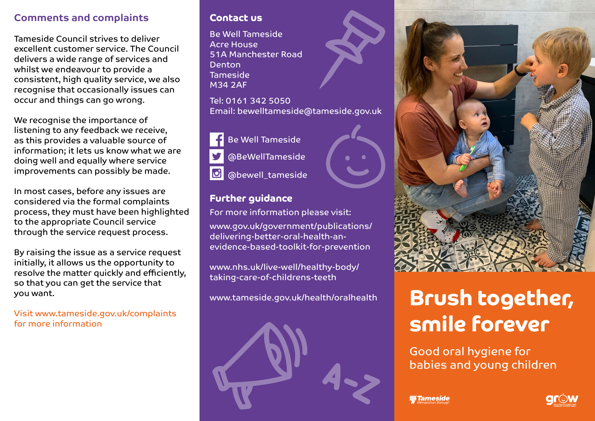#### Comments and complaints

Tameside Council strives to deliver excellent customer service. The Council delivers a wide range of services and whilst we endeavour to provide a consistent, high quality service, we also recognise that occasionally issues can occur and things can go wrong.

We recognise the importance of listening to any feedback we receive, as this provides a valuable source of information; it lets us know what we are doing well and equally where service improvements can possibly be made.

In most cases, before any issues are considered via the formal complaints process, they must have been highlighted to the appropriate Council service through the service request process.

By raising the issue as a service request initially, it allows us the opportunity to resolve the matter quickly and efficiently, so that you can get the service that you want.

Visit www.tameside.gov.uk/complaints for more information

#### Contact us

Be Well Tameside Acre House 51A Manchester Road Denton Tameside M34 2AF

Tel: 0161 342 5050 Email: bewelltameside@tameside.gov.uk



#### Further guidance

For more information please visit:

www.gov.uk/government/publications/ delivering-better-oral-health-anevidence-based-toolkit-for-prevention

www.nhs.uk/live-well/healthy-body/ taking-care-of-childrens-teeth

www.tameside.gov.uk/health/oralhealth





# Brush together, smile forever

Good oral hygiene for babies and young children